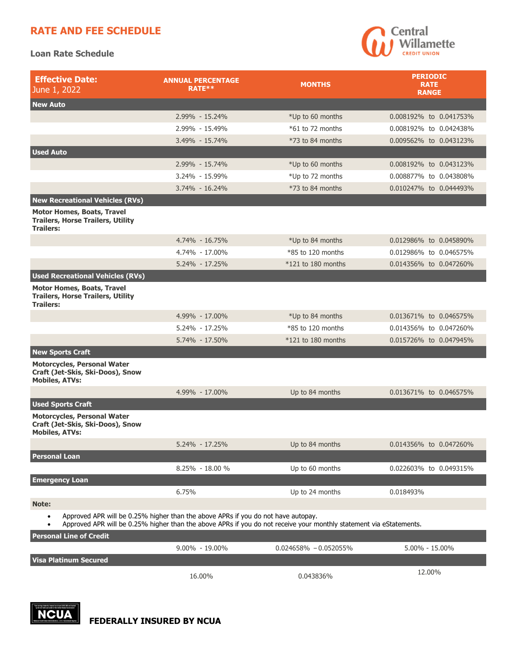## **RATE AND FEE SCHEDULE**

**Loan Rate Schedule** 



| <b>Effective Date:</b><br>June 1, 2022                                                                                                                                                                                | <b>ANNUAL PERCENTAGE</b><br>RATE** | <b>MONTHS</b>             | <b>PERIODIC</b><br><b>RATE</b><br><b>RANGE</b> |  |
|-----------------------------------------------------------------------------------------------------------------------------------------------------------------------------------------------------------------------|------------------------------------|---------------------------|------------------------------------------------|--|
| <b>New Auto</b>                                                                                                                                                                                                       |                                    |                           |                                                |  |
|                                                                                                                                                                                                                       | 2.99% - 15.24%                     | *Up to 60 months          | 0.008192% to 0.041753%                         |  |
|                                                                                                                                                                                                                       | 2.99% - 15.49%                     | $*61$ to 72 months        | 0.008192% to 0.042438%                         |  |
|                                                                                                                                                                                                                       | 3.49% - 15.74%                     | $*73$ to 84 months        | 0.009562% to 0.043123%                         |  |
| <b>Used Auto</b>                                                                                                                                                                                                      |                                    |                           |                                                |  |
|                                                                                                                                                                                                                       | 2.99% - 15.74%                     | *Up to 60 months          | 0.008192% to 0.043123%                         |  |
|                                                                                                                                                                                                                       | 3.24% - 15.99%                     | *Up to 72 months          | 0.008877% to 0.043808%                         |  |
|                                                                                                                                                                                                                       | $3.74\% - 16.24\%$                 | $*73$ to 84 months        | 0.010247% to 0.044493%                         |  |
| <b>New Recreational Vehicles (RVs)</b>                                                                                                                                                                                |                                    |                           |                                                |  |
| <b>Motor Homes, Boats, Travel</b><br><b>Trailers, Horse Trailers, Utility</b><br><b>Trailers:</b>                                                                                                                     |                                    |                           |                                                |  |
|                                                                                                                                                                                                                       | 4.74% - 16.75%                     | *Up to 84 months          | 0.012986% to 0.045890%                         |  |
|                                                                                                                                                                                                                       | 4.74% - 17.00%                     | $*85$ to 120 months       | 0.012986% to 0.046575%                         |  |
|                                                                                                                                                                                                                       | 5.24% - 17.25%                     | $*121$ to 180 months      | 0.014356% to 0.047260%                         |  |
| <b>Used Recreational Vehicles (RVs)</b>                                                                                                                                                                               |                                    |                           |                                                |  |
| <b>Motor Homes, Boats, Travel</b><br><b>Trailers, Horse Trailers, Utility</b><br><b>Trailers:</b>                                                                                                                     |                                    |                           |                                                |  |
|                                                                                                                                                                                                                       | 4.99% - 17.00%                     | *Up to 84 months          | 0.013671% to 0.046575%                         |  |
|                                                                                                                                                                                                                       | 5.24% - 17.25%                     | $*85$ to 120 months       | 0.014356% to 0.047260%                         |  |
|                                                                                                                                                                                                                       | 5.74% - 17.50%                     | $*121$ to 180 months      | 0.015726% to 0.047945%                         |  |
| <b>New Sports Craft</b>                                                                                                                                                                                               |                                    |                           |                                                |  |
| <b>Motorcycles, Personal Water</b><br>Craft (Jet-Skis, Ski-Doos), Snow<br><b>Mobiles, ATVs:</b>                                                                                                                       |                                    |                           |                                                |  |
|                                                                                                                                                                                                                       | 4.99% - 17.00%                     | Up to 84 months           | 0.013671% to 0.046575%                         |  |
| <b>Used Sports Craft</b>                                                                                                                                                                                              |                                    |                           |                                                |  |
| <b>Motorcycles, Personal Water</b><br>Craft (Jet-Skis, Ski-Doos), Snow<br><b>Mobiles, ATVs:</b>                                                                                                                       |                                    |                           |                                                |  |
|                                                                                                                                                                                                                       | 5.24% - 17.25%                     | Up to 84 months           | 0.014356% to 0.047260%                         |  |
| <b>Personal Loan</b>                                                                                                                                                                                                  |                                    |                           |                                                |  |
|                                                                                                                                                                                                                       | 8.25% - 18.00 %                    | Up to 60 months           | 0.022603% to 0.049315%                         |  |
| <b>Emergency Loan</b>                                                                                                                                                                                                 |                                    |                           |                                                |  |
|                                                                                                                                                                                                                       | 6.75%                              | Up to 24 months           | 0.018493%                                      |  |
| Note:                                                                                                                                                                                                                 |                                    |                           |                                                |  |
| Approved APR will be 0.25% higher than the above APRs if you do not have autopay.<br>$\bullet$<br>Approved APR will be 0.25% higher than the above APRs if you do not receive your monthly statement via eStatements. |                                    |                           |                                                |  |
| <b>Personal Line of Credit</b>                                                                                                                                                                                        |                                    |                           |                                                |  |
|                                                                                                                                                                                                                       | 9.00% - 19.00%                     | $0.024658\% - 0.052055\%$ | 5.00% - 15.00%                                 |  |

**Visa Platinum Secured**  16.00% 0.043836% 12.00%